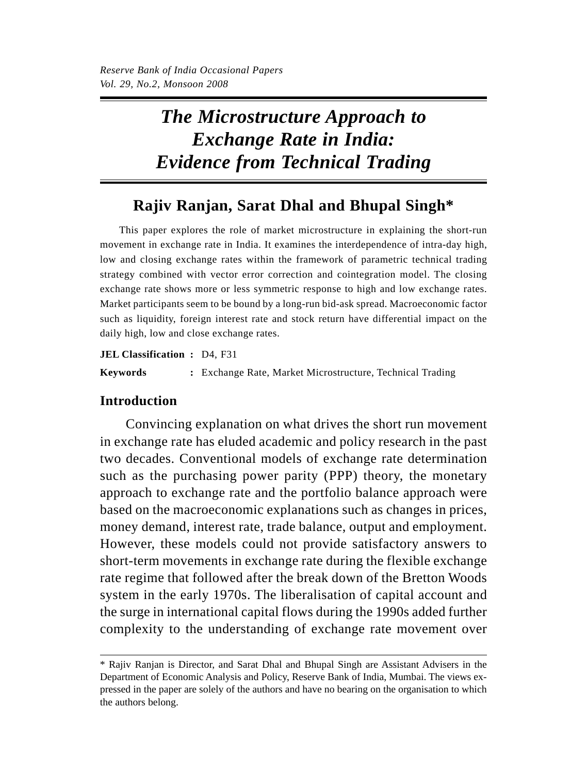# *The Microstructure Approach to Exchange Rate in India: Evidence from Technical Trading*

# **Rajiv Ranjan, Sarat Dhal and Bhupal Singh\***

This paper explores the role of market microstructure in explaining the short-run movement in exchange rate in India. It examines the interdependence of intra-day high, low and closing exchange rates within the framework of parametric technical trading strategy combined with vector error correction and cointegration model. The closing exchange rate shows more or less symmetric response to high and low exchange rates. Market participants seem to be bound by a long-run bid-ask spread. Macroeconomic factor such as liquidity, foreign interest rate and stock return have differential impact on the daily high, low and close exchange rates.

**JEL Classification :** D4, F31 **Keywords :** Exchange Rate, Market Microstructure, Technical Trading

# **Introduction**

Convincing explanation on what drives the short run movement in exchange rate has eluded academic and policy research in the past two decades. Conventional models of exchange rate determination such as the purchasing power parity (PPP) theory, the monetary approach to exchange rate and the portfolio balance approach were based on the macroeconomic explanations such as changes in prices, money demand, interest rate, trade balance, output and employment. However, these models could not provide satisfactory answers to short-term movements in exchange rate during the flexible exchange rate regime that followed after the break down of the Bretton Woods system in the early 1970s. The liberalisation of capital account and the surge in international capital flows during the 1990s added further complexity to the understanding of exchange rate movement over

<sup>\*</sup> Rajiv Ranjan is Director, and Sarat Dhal and Bhupal Singh are Assistant Advisers in the Department of Economic Analysis and Policy, Reserve Bank of India, Mumbai. The views expressed in the paper are solely of the authors and have no bearing on the organisation to which the authors belong.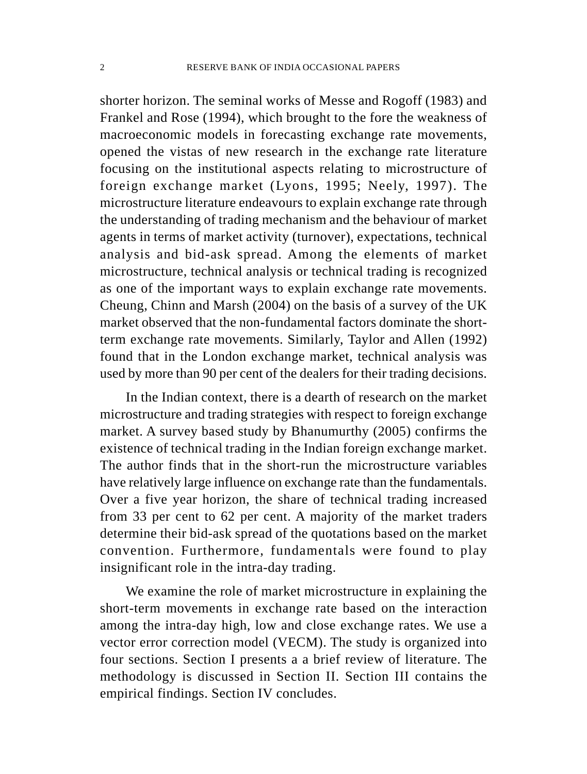shorter horizon. The seminal works of Messe and Rogoff (1983) and Frankel and Rose (1994), which brought to the fore the weakness of macroeconomic models in forecasting exchange rate movements, opened the vistas of new research in the exchange rate literature focusing on the institutional aspects relating to microstructure of foreign exchange market (Lyons, 1995; Neely, 1997). The microstructure literature endeavours to explain exchange rate through the understanding of trading mechanism and the behaviour of market agents in terms of market activity (turnover), expectations, technical analysis and bid-ask spread. Among the elements of market microstructure, technical analysis or technical trading is recognized as one of the important ways to explain exchange rate movements. Cheung, Chinn and Marsh (2004) on the basis of a survey of the UK market observed that the non-fundamental factors dominate the shortterm exchange rate movements. Similarly, Taylor and Allen (1992) found that in the London exchange market, technical analysis was used by more than 90 per cent of the dealers for their trading decisions.

In the Indian context, there is a dearth of research on the market microstructure and trading strategies with respect to foreign exchange market. A survey based study by Bhanumurthy (2005) confirms the existence of technical trading in the Indian foreign exchange market. The author finds that in the short-run the microstructure variables have relatively large influence on exchange rate than the fundamentals. Over a five year horizon, the share of technical trading increased from 33 per cent to 62 per cent. A majority of the market traders determine their bid-ask spread of the quotations based on the market convention. Furthermore, fundamentals were found to play insignificant role in the intra-day trading.

We examine the role of market microstructure in explaining the short-term movements in exchange rate based on the interaction among the intra-day high, low and close exchange rates. We use a vector error correction model (VECM). The study is organized into four sections. Section I presents a a brief review of literature. The methodology is discussed in Section II. Section III contains the empirical findings. Section IV concludes.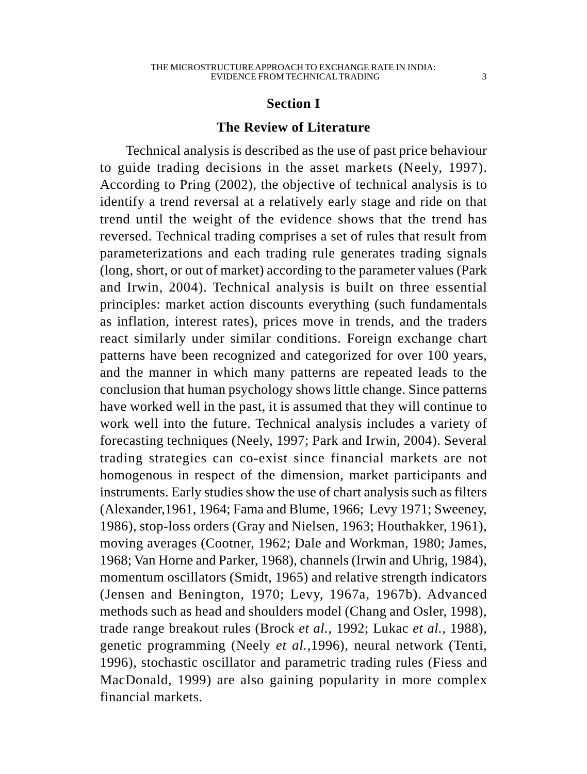## **Section I**

#### **The Review of Literature**

Technical analysis is described as the use of past price behaviour to guide trading decisions in the asset markets (Neely, 1997). According to Pring (2002), the objective of technical analysis is to identify a trend reversal at a relatively early stage and ride on that trend until the weight of the evidence shows that the trend has reversed. Technical trading comprises a set of rules that result from parameterizations and each trading rule generates trading signals (long, short, or out of market) according to the parameter values (Park and Irwin, 2004). Technical analysis is built on three essential principles: market action discounts everything (such fundamentals as inflation, interest rates), prices move in trends, and the traders react similarly under similar conditions. Foreign exchange chart patterns have been recognized and categorized for over 100 years, and the manner in which many patterns are repeated leads to the conclusion that human psychology shows little change. Since patterns have worked well in the past, it is assumed that they will continue to work well into the future. Technical analysis includes a variety of forecasting techniques (Neely, 1997; Park and Irwin, 2004). Several trading strategies can co-exist since financial markets are not homogenous in respect of the dimension, market participants and instruments. Early studies show the use of chart analysis such as filters (Alexander,1961, 1964; Fama and Blume, 1966; Levy 1971; Sweeney, 1986), stop-loss orders (Gray and Nielsen, 1963; Houthakker, 1961), moving averages (Cootner, 1962; Dale and Workman, 1980; James, 1968; Van Horne and Parker, 1968), channels (Irwin and Uhrig, 1984), momentum oscillators (Smidt, 1965) and relative strength indicators (Jensen and Benington, 1970; Levy, 1967a, 1967b). Advanced methods such as head and shoulders model (Chang and Osler, 1998), trade range breakout rules (Brock *et al.,* 1992; Lukac *et al.,* 1988), genetic programming (Neely *et al.,*1996), neural network (Tenti, 1996), stochastic oscillator and parametric trading rules (Fiess and MacDonald, 1999) are also gaining popularity in more complex financial markets.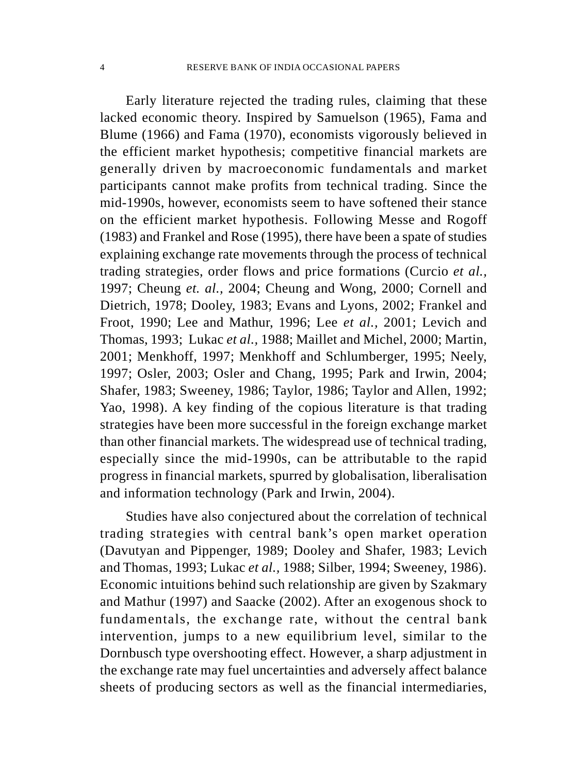Early literature rejected the trading rules, claiming that these lacked economic theory. Inspired by Samuelson (1965), Fama and Blume (1966) and Fama (1970), economists vigorously believed in the efficient market hypothesis; competitive financial markets are generally driven by macroeconomic fundamentals and market participants cannot make profits from technical trading. Since the mid-1990s, however, economists seem to have softened their stance on the efficient market hypothesis. Following Messe and Rogoff (1983) and Frankel and Rose (1995), there have been a spate of studies explaining exchange rate movements through the process of technical trading strategies, order flows and price formations (Curcio *et al.,* 1997; Cheung *et. al.,* 2004; Cheung and Wong, 2000; Cornell and Dietrich, 1978; Dooley, 1983; Evans and Lyons, 2002; Frankel and Froot, 1990; Lee and Mathur, 1996; Lee *et al.,* 2001; Levich and Thomas, 1993; Lukac *et al.,* 1988; Maillet and Michel, 2000; Martin, 2001; Menkhoff, 1997; Menkhoff and Schlumberger, 1995; Neely, 1997; Osler, 2003; Osler and Chang, 1995; Park and Irwin, 2004; Shafer, 1983; Sweeney, 1986; Taylor, 1986; Taylor and Allen, 1992; Yao, 1998). A key finding of the copious literature is that trading strategies have been more successful in the foreign exchange market than other financial markets. The widespread use of technical trading, especially since the mid-1990s, can be attributable to the rapid progress in financial markets, spurred by globalisation, liberalisation and information technology (Park and Irwin, 2004).

Studies have also conjectured about the correlation of technical trading strategies with central bank's open market operation (Davutyan and Pippenger, 1989; Dooley and Shafer, 1983; Levich and Thomas, 1993; Lukac *et al.,* 1988; Silber, 1994; Sweeney, 1986). Economic intuitions behind such relationship are given by Szakmary and Mathur (1997) and Saacke (2002). After an exogenous shock to fundamentals, the exchange rate, without the central bank intervention, jumps to a new equilibrium level, similar to the Dornbusch type overshooting effect. However, a sharp adjustment in the exchange rate may fuel uncertainties and adversely affect balance sheets of producing sectors as well as the financial intermediaries,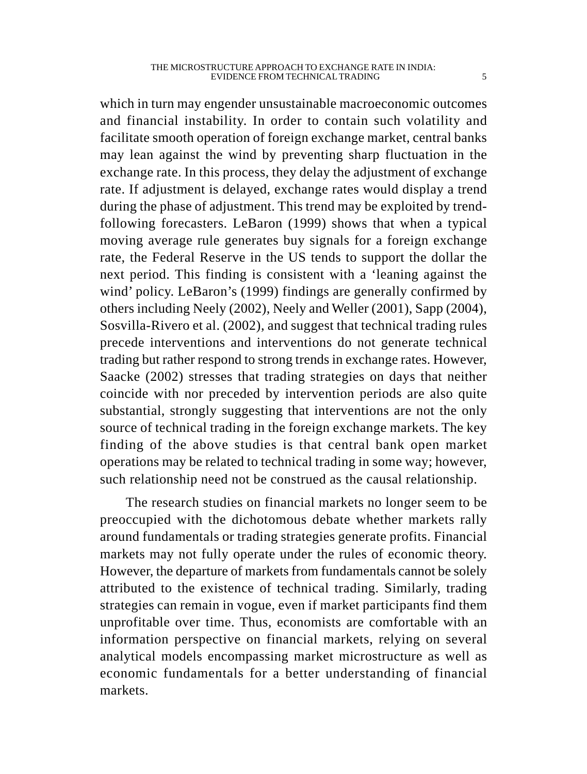which in turn may engender unsustainable macroeconomic outcomes and financial instability. In order to contain such volatility and facilitate smooth operation of foreign exchange market, central banks may lean against the wind by preventing sharp fluctuation in the exchange rate. In this process, they delay the adjustment of exchange rate. If adjustment is delayed, exchange rates would display a trend during the phase of adjustment. This trend may be exploited by trendfollowing forecasters. LeBaron (1999) shows that when a typical moving average rule generates buy signals for a foreign exchange rate, the Federal Reserve in the US tends to support the dollar the next period. This finding is consistent with a 'leaning against the wind' policy. LeBaron's (1999) findings are generally confirmed by others including Neely (2002), Neely and Weller (2001), Sapp (2004), Sosvilla-Rivero et al. (2002), and suggest that technical trading rules precede interventions and interventions do not generate technical trading but rather respond to strong trends in exchange rates. However, Saacke (2002) stresses that trading strategies on days that neither coincide with nor preceded by intervention periods are also quite substantial, strongly suggesting that interventions are not the only source of technical trading in the foreign exchange markets. The key finding of the above studies is that central bank open market operations may be related to technical trading in some way; however, such relationship need not be construed as the causal relationship.

The research studies on financial markets no longer seem to be preoccupied with the dichotomous debate whether markets rally around fundamentals or trading strategies generate profits. Financial markets may not fully operate under the rules of economic theory. However, the departure of markets from fundamentals cannot be solely attributed to the existence of technical trading. Similarly, trading strategies can remain in vogue, even if market participants find them unprofitable over time. Thus, economists are comfortable with an information perspective on financial markets, relying on several analytical models encompassing market microstructure as well as economic fundamentals for a better understanding of financial markets.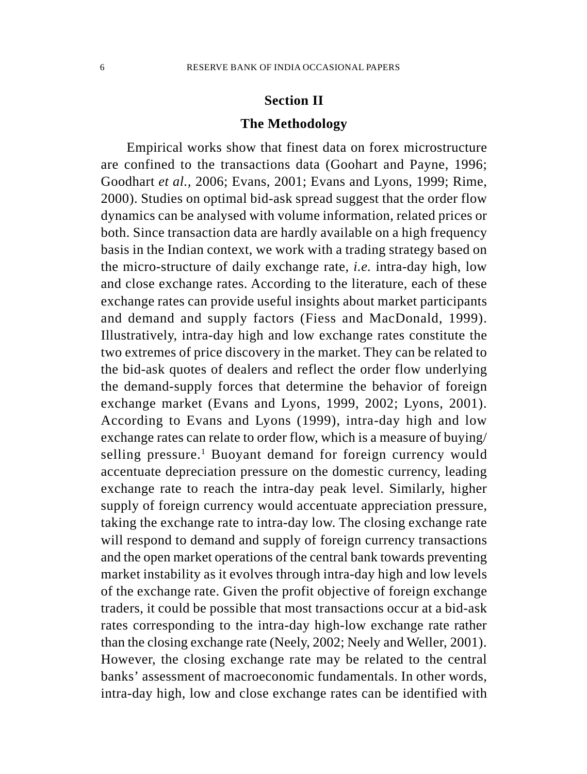### **Section II**

### **The Methodology**

Empirical works show that finest data on forex microstructure are confined to the transactions data (Goohart and Payne, 1996; Goodhart *et al.,* 2006; Evans, 2001; Evans and Lyons, 1999; Rime, 2000). Studies on optimal bid-ask spread suggest that the order flow dynamics can be analysed with volume information, related prices or both. Since transaction data are hardly available on a high frequency basis in the Indian context, we work with a trading strategy based on the micro-structure of daily exchange rate, *i.e.* intra-day high, low and close exchange rates. According to the literature, each of these exchange rates can provide useful insights about market participants and demand and supply factors (Fiess and MacDonald, 1999). Illustratively, intra-day high and low exchange rates constitute the two extremes of price discovery in the market. They can be related to the bid-ask quotes of dealers and reflect the order flow underlying the demand-supply forces that determine the behavior of foreign exchange market (Evans and Lyons, 1999, 2002; Lyons, 2001). According to Evans and Lyons (1999), intra-day high and low exchange rates can relate to order flow, which is a measure of buying/ selling pressure.<sup>1</sup> Buoyant demand for foreign currency would accentuate depreciation pressure on the domestic currency, leading exchange rate to reach the intra-day peak level. Similarly, higher supply of foreign currency would accentuate appreciation pressure, taking the exchange rate to intra-day low. The closing exchange rate will respond to demand and supply of foreign currency transactions and the open market operations of the central bank towards preventing market instability as it evolves through intra-day high and low levels of the exchange rate. Given the profit objective of foreign exchange traders, it could be possible that most transactions occur at a bid-ask rates corresponding to the intra-day high-low exchange rate rather than the closing exchange rate (Neely, 2002; Neely and Weller, 2001). However, the closing exchange rate may be related to the central banks' assessment of macroeconomic fundamentals. In other words, intra-day high, low and close exchange rates can be identified with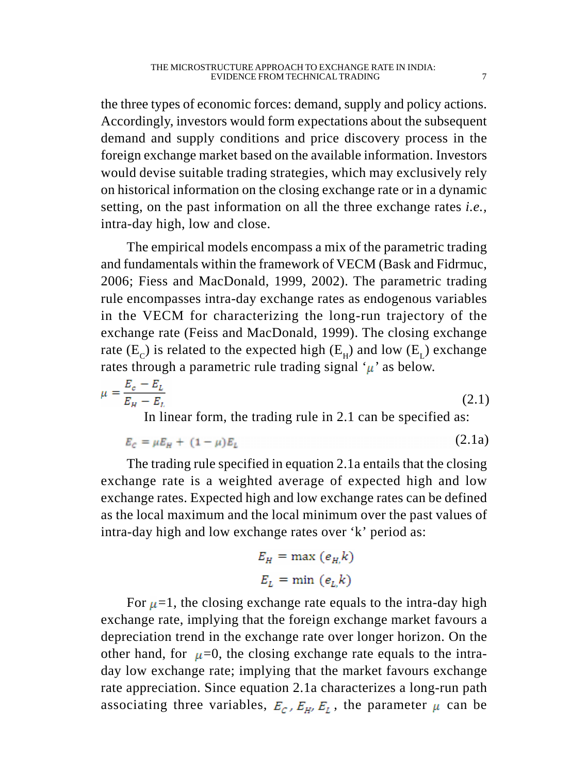the three types of economic forces: demand, supply and policy actions. Accordingly, investors would form expectations about the subsequent demand and supply conditions and price discovery process in the foreign exchange market based on the available information. Investors would devise suitable trading strategies, which may exclusively rely on historical information on the closing exchange rate or in a dynamic setting, on the past information on all the three exchange rates *i.e.,* intra-day high, low and close.

The empirical models encompass a mix of the parametric trading and fundamentals within the framework of VECM (Bask and Fidrmuc, 2006; Fiess and MacDonald, 1999, 2002). The parametric trading rule encompasses intra-day exchange rates as endogenous variables in the VECM for characterizing the long-run trajectory of the exchange rate (Feiss and MacDonald, 1999). The closing exchange rate  $(E_c)$  is related to the expected high  $(E_u)$  and low  $(E_t)$  exchange rates through a parametric rule trading signal  $\mu$  as below.

$$
\mu = \frac{E_c - E_L}{E_H - E_L}
$$
\n(2.1)

In linear form, the trading rule in 2.1 can be specified as:

$$
E_c = \mu E_H + (1 - \mu) E_L \tag{2.1a}
$$

The trading rule specified in equation 2.1a entails that the closing exchange rate is a weighted average of expected high and low exchange rates. Expected high and low exchange rates can be defined as the local maximum and the local minimum over the past values of intra-day high and low exchange rates over 'k' period as:

$$
E_H = \max (e_H, k)
$$

$$
E_L = \min (e_L, k)
$$

For  $\mu$ =1, the closing exchange rate equals to the intra-day high exchange rate, implying that the foreign exchange market favours a depreciation trend in the exchange rate over longer horizon. On the other hand, for  $\mu=0$ , the closing exchange rate equals to the intraday low exchange rate; implying that the market favours exchange rate appreciation. Since equation 2.1a characterizes a long-run path associating three variables,  $E_c$ ,  $E_H$ ,  $E_L$ , the parameter  $\mu$  can be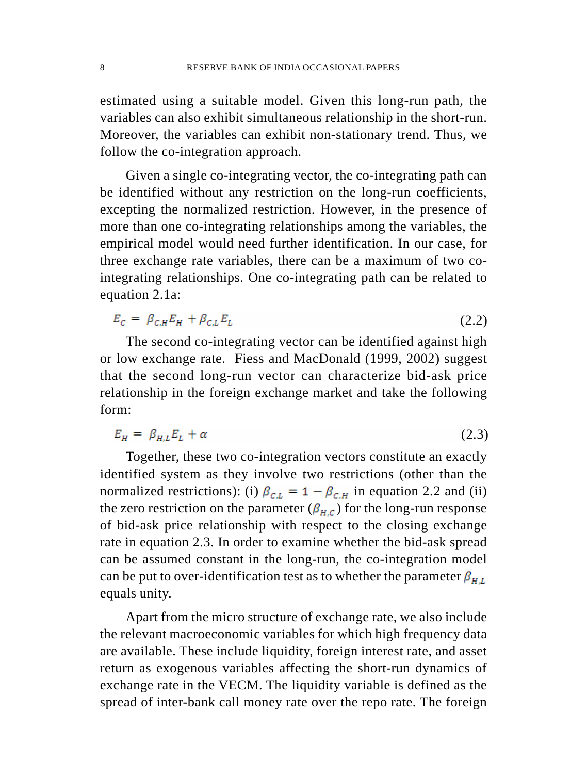estimated using a suitable model. Given this long-run path, the variables can also exhibit simultaneous relationship in the short-run. Moreover, the variables can exhibit non-stationary trend. Thus, we follow the co-integration approach.

Given a single co-integrating vector, the co-integrating path can be identified without any restriction on the long-run coefficients, excepting the normalized restriction. However, in the presence of more than one co-integrating relationships among the variables, the empirical model would need further identification. In our case, for three exchange rate variables, there can be a maximum of two cointegrating relationships. One co-integrating path can be related to equation 2.1a:

$$
E_c = \beta_{c,H} E_H + \beta_{c,L} E_L \tag{2.2}
$$

The second co-integrating vector can be identified against high or low exchange rate. Fiess and MacDonald (1999, 2002) suggest that the second long-run vector can characterize bid-ask price relationship in the foreign exchange market and take the following form:

$$
E_H = \beta_{H,L} E_L + \alpha \tag{2.3}
$$

Together, these two co-integration vectors constitute an exactly identified system as they involve two restrictions (other than the normalized restrictions): (i)  $\beta_{CL} = 1 - \beta_{CH}$  in equation 2.2 and (ii) the zero restriction on the parameter ( $\beta_{H,C}$ ) for the long-run response of bid-ask price relationship with respect to the closing exchange rate in equation 2.3. In order to examine whether the bid-ask spread can be assumed constant in the long-run, the co-integration model can be put to over-identification test as to whether the parameter  $\beta_{HL}$ equals unity.

Apart from the micro structure of exchange rate, we also include the relevant macroeconomic variables for which high frequency data are available. These include liquidity, foreign interest rate, and asset return as exogenous variables affecting the short-run dynamics of exchange rate in the VECM. The liquidity variable is defined as the spread of inter-bank call money rate over the repo rate. The foreign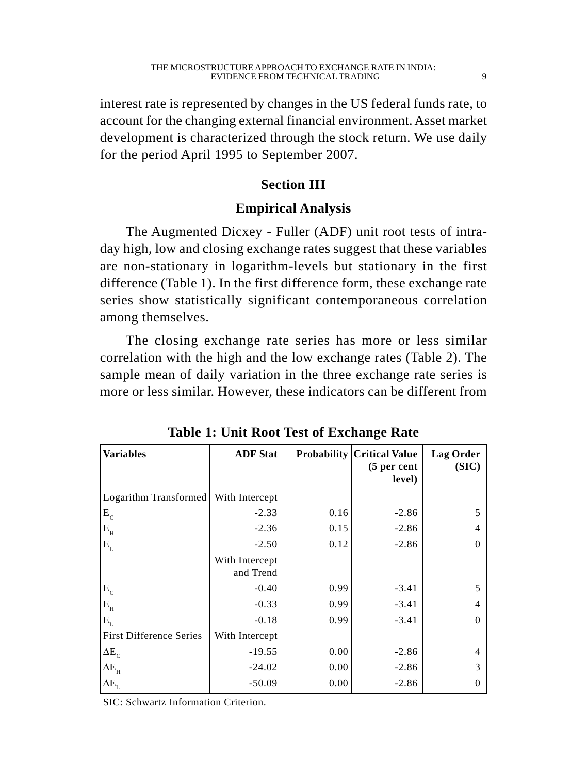interest rate is represented by changes in the US federal funds rate, to account for the changing external financial environment. Asset market development is characterized through the stock return. We use daily for the period April 1995 to September 2007.

# **Section III**

# **Empirical Analysis**

The Augmented Dicxey - Fuller (ADF) unit root tests of intraday high, low and closing exchange rates suggest that these variables are non-stationary in logarithm-levels but stationary in the first difference (Table 1). In the first difference form, these exchange rate series show statistically significant contemporaneous correlation among themselves.

The closing exchange rate series has more or less similar correlation with the high and the low exchange rates (Table 2). The sample mean of daily variation in the three exchange rate series is more or less similar. However, these indicators can be different from

| <b>Variables</b>               | <b>ADF</b> Stat             |      | <b>Probability Critical Value</b><br>(5 per cent<br>level) | Lag Order<br>(SIC) |
|--------------------------------|-----------------------------|------|------------------------------------------------------------|--------------------|
| Logarithm Transformed          | With Intercept              |      |                                                            |                    |
| $\mathbf{E}_{\rm c}$           | $-2.33$                     | 0.16 | $-2.86$                                                    | 5                  |
| $\mathbf{E}_{_{\text{H}}}$     | $-2.36$                     | 0.15 | $-2.86$                                                    |                    |
| $\mathbf{E}_{\text{\tiny L}}$  | $-2.50$                     | 0.12 | $-2.86$                                                    | 0                  |
|                                | With Intercept<br>and Trend |      |                                                            |                    |
| $E_{c}$                        | $-0.40$                     | 0.99 | $-3.41$                                                    | 5                  |
| $E_{\rm H}$                    | $-0.33$                     | 0.99 | $-3.41$                                                    | 4                  |
| $E_{\rm L}$                    | $-0.18$                     | 0.99 | $-3.41$                                                    | $\Omega$           |
| <b>First Difference Series</b> | With Intercept              |      |                                                            |                    |
| $\Delta E_c$                   | $-19.55$                    | 0.00 | $-2.86$                                                    | 4                  |
| $\Delta E_{_{\rm H}}$          | $-24.02$                    | 0.00 | $-2.86$                                                    | 3                  |
| $\Delta E_{\rm L}$             | $-50.09$                    | 0.00 | $-2.86$                                                    | $\Omega$           |

**Table 1: Unit Root Test of Exchange Rate**

SIC: Schwartz Information Criterion.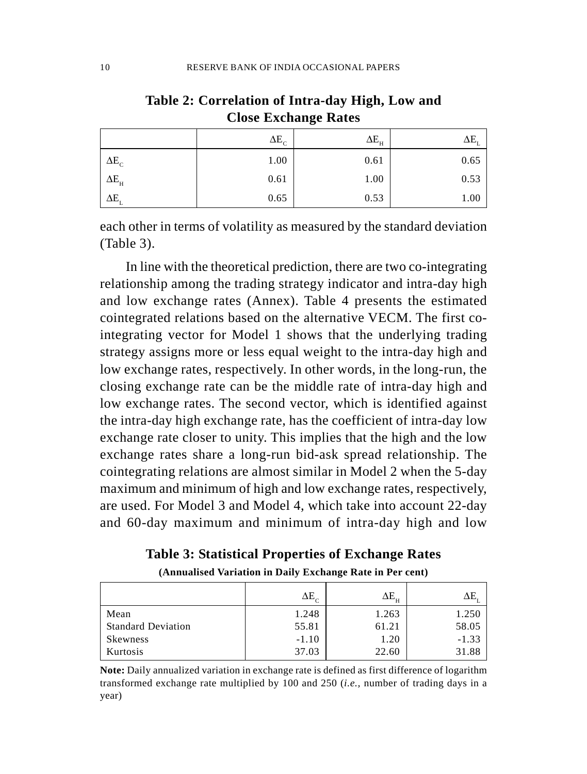|                       | $\Delta E_c$ | $\Delta E_{_{\rm H}}$ | $\Delta E_{1}$ |
|-----------------------|--------------|-----------------------|----------------|
| $\Delta E_{\rm c}$    | 1.00         | 0.61                  | 0.65           |
| $\Delta E_{_{\rm H}}$ | 0.61         | 1.00                  | 0.53           |
| $\Delta E_{\rm r}$    | 0.65         | 0.53                  | 1.00           |

# **Table 2: Correlation of Intra-day High, Low and Close Exchange Rates**

each other in terms of volatility as measured by the standard deviation (Table 3).

In line with the theoretical prediction, there are two co-integrating relationship among the trading strategy indicator and intra-day high and low exchange rates (Annex). Table 4 presents the estimated cointegrated relations based on the alternative VECM. The first cointegrating vector for Model 1 shows that the underlying trading strategy assigns more or less equal weight to the intra-day high and low exchange rates, respectively. In other words, in the long-run, the closing exchange rate can be the middle rate of intra-day high and low exchange rates. The second vector, which is identified against the intra-day high exchange rate, has the coefficient of intra-day low exchange rate closer to unity. This implies that the high and the low exchange rates share a long-run bid-ask spread relationship. The cointegrating relations are almost similar in Model 2 when the 5-day maximum and minimum of high and low exchange rates, respectively, are used. For Model 3 and Model 4, which take into account 22-day and 60-day maximum and minimum of intra-day high and low

|  |  | Table 3: Statistical Properties of Exchange Rates |  |  |
|--|--|---------------------------------------------------|--|--|
|--|--|---------------------------------------------------|--|--|

|                           | $\Delta E_c$ | $\Delta E_{_{\rm H}}$ |         |
|---------------------------|--------------|-----------------------|---------|
| Mean                      | 1.248        | 1.263                 | 1.250   |
| <b>Standard Deviation</b> | 55.81        | 61.21                 | 58.05   |
| Skewness                  | $-1.10$      | 1.20                  | $-1.33$ |
| Kurtosis                  | 37.03        | 22.60                 | 31.88   |

**(Annualised Variation in Daily Exchange Rate in Per cent)**

**Note:** Daily annualized variation in exchange rate is defined as first difference of logarithm transformed exchange rate multiplied by 100 and 250 (*i.e.,* number of trading days in a year)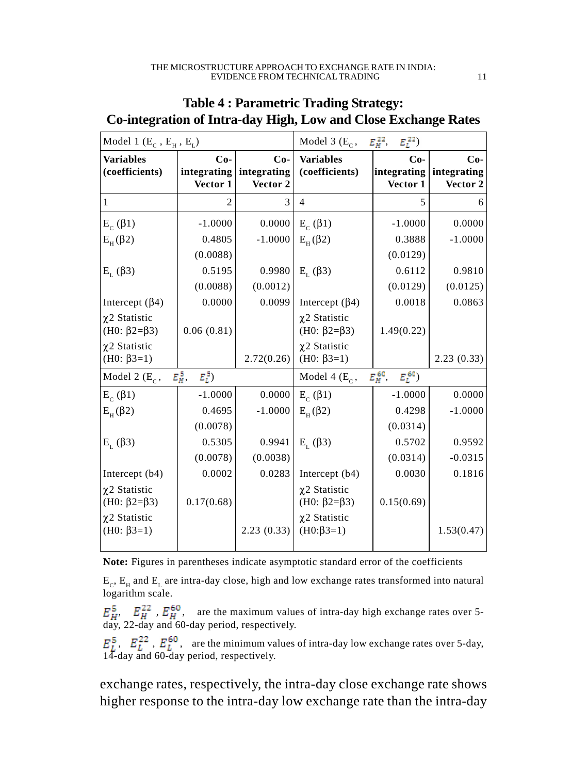| Model 1 $(E_c, E_H, E_t)$                  |                                  | Model 3 (E <sub>c</sub> , $E_H^{22}$ , $E_L^{22}$ ) |                                                     |                                  |                                  |
|--------------------------------------------|----------------------------------|-----------------------------------------------------|-----------------------------------------------------|----------------------------------|----------------------------------|
| <b>Variables</b><br>(coefficients)         | $Co-$<br>integrating<br>Vector 1 | $Co-$<br>integrating<br>Vector 2                    | <b>Variables</b><br>(coefficients)                  | $Co-$<br>integrating<br>Vector 1 | $Co-$<br>integrating<br>Vector 2 |
| 1                                          | $\overline{c}$                   | 3                                                   | $\overline{4}$                                      | 5                                | 6                                |
| $E_c$ ( $\beta$ 1)                         | $-1.0000$                        | 0.0000                                              | $E_c$ ( $\beta$ 1)                                  | $-1.0000$                        | 0.0000                           |
| $E_{H}(\beta 2)$                           | 0.4805                           | $-1.0000$                                           | $E_{\rm H}(\beta 2)$                                | 0.3888                           | $-1.0000$                        |
|                                            | (0.0088)                         |                                                     |                                                     | (0.0129)                         |                                  |
| $E_{L}(\beta 3)$                           | 0.5195                           | 0.9980                                              | $E_{r}$ ( $\beta$ 3)                                | 0.6112                           | 0.9810                           |
|                                            | (0.0088)                         | (0.0012)                                            |                                                     | (0.0129)                         | (0.0125)                         |
| Intercept $(\beta 4)$                      | 0.0000                           | 0.0099                                              | Intercept $(\beta 4)$                               | 0.0018                           | 0.0863                           |
| χ2 Statistic<br>(H0: $\beta$ 2= $\beta$ 3) | 0.06(0.81)                       |                                                     | $\chi$ 2 Statistic<br>(H0: $\beta$ 2= $\beta$ 3)    | 1.49(0.22)                       |                                  |
| χ2 Statistic<br>(H0: $\beta$ 3=1)          |                                  | 2.72(0.26)                                          | $\chi$ 2 Statistic<br>(H0: $\beta$ 3=1)             |                                  | 2.23(0.33)                       |
| Model 2 $(E_c,$                            | $E_H^{\,5}$<br>$E_L^5$           |                                                     | Model 4 (E <sub>C</sub> , $E_H^{60}$ , $E_L^{60}$ ) |                                  |                                  |
| $E_c$ ( $\beta$ 1)                         | $-1.0000$                        | 0.0000                                              | $E_c$ ( $\beta$ 1)                                  | $-1.0000$                        | 0.0000                           |
| $E_{H}(\beta 2)$                           | 0.4695                           | $-1.0000$                                           | $E_{H}(\beta 2)$                                    | 0.4298                           | $-1.0000$                        |
|                                            | (0.0078)                         |                                                     |                                                     | (0.0314)                         |                                  |
| $E_{L}(\beta 3)$                           | 0.5305                           | 0.9941                                              | $E_{L}(\beta 3)$                                    | 0.5702                           | 0.9592                           |
|                                            | (0.0078)                         | (0.0038)                                            |                                                     | (0.0314)                         | $-0.0315$                        |
| Intercept $(b4)$                           | 0.0002                           | 0.0283                                              | Intercept $(b4)$                                    | 0.0030                           | 0.1816                           |
| $\chi$ 2 Statistic<br>(H0: β2=β3)          | 0.17(0.68)                       |                                                     | $\chi$ 2 Statistic<br>(H0: β2=β3)                   | 0.15(0.69)                       |                                  |
| $\chi$ 2 Statistic<br>(H0: $\beta$ 3=1)    |                                  | 2.23(0.33)                                          | $\chi$ 2 Statistic<br>$(H0:\beta3=1)$               |                                  | 1.53(0.47)                       |

# **Table 4 : Parametric Trading Strategy: Co-integration of Intra-day High, Low and Close Exchange Rates**

**Note:** Figures in parentheses indicate asymptotic standard error of the coefficients

 $E_c$ ,  $E_H$  and  $E_L$  are intra-day close, high and low exchange rates transformed into natural logarithm scale.

,  $E_{H}^{22}$ ,  $E_{H}^{\text{ov}}$ , are the maximum values of intra-day high exchange rates over 5day, 22-day and 60-day period, respectively.

,  $E_L^{22}$ ,  $E_L^{\text{p}}$ , are the minimum values of intra-day low exchange rates over 5-day, 14-day and 60-day period, respectively.

exchange rates, respectively, the intra-day close exchange rate shows higher response to the intra-day low exchange rate than the intra-day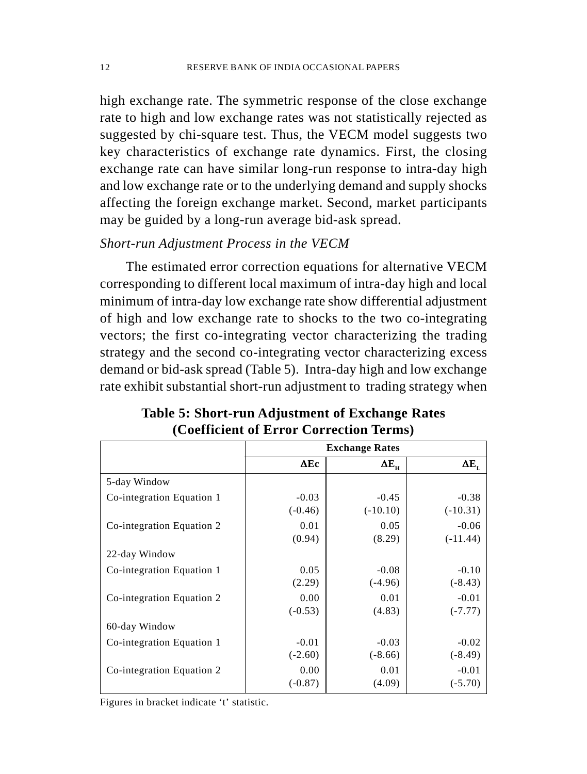high exchange rate. The symmetric response of the close exchange rate to high and low exchange rates was not statistically rejected as suggested by chi-square test. Thus, the VECM model suggests two key characteristics of exchange rate dynamics. First, the closing exchange rate can have similar long-run response to intra-day high and low exchange rate or to the underlying demand and supply shocks affecting the foreign exchange market. Second, market participants may be guided by a long-run average bid-ask spread.

# *Short-run Adjustment Process in the VECM*

The estimated error correction equations for alternative VECM corresponding to different local maximum of intra-day high and local minimum of intra-day low exchange rate show differential adjustment of high and low exchange rate to shocks to the two co-integrating vectors; the first co-integrating vector characterizing the trading strategy and the second co-integrating vector characterizing excess demand or bid-ask spread (Table 5). Intra-day high and low exchange rate exhibit substantial short-run adjustment to trading strategy when

|                           | <b>Exchange Rates</b> |                    |              |  |
|---------------------------|-----------------------|--------------------|--------------|--|
|                           | $\Delta$ Ec           | $\Delta E_{\rm H}$ | $\Delta E_L$ |  |
| 5-day Window              |                       |                    |              |  |
| Co-integration Equation 1 | $-0.03$               | $-0.45$            | $-0.38$      |  |
|                           | $(-0.46)$             | $(-10.10)$         | $(-10.31)$   |  |
| Co-integration Equation 2 | 0.01                  | 0.05               | $-0.06$      |  |
|                           | (0.94)                | (8.29)             | $(-11.44)$   |  |
| 22-day Window             |                       |                    |              |  |
| Co-integration Equation 1 | 0.05                  | $-0.08$            | $-0.10$      |  |
|                           | (2.29)                | $(-4.96)$          | $(-8.43)$    |  |
| Co-integration Equation 2 | 0.00                  | 0.01               | $-0.01$      |  |
|                           | $(-0.53)$             | (4.83)             | $(-7.77)$    |  |
| 60-day Window             |                       |                    |              |  |
| Co-integration Equation 1 | $-0.01$               | $-0.03$            | $-0.02$      |  |
|                           | $(-2.60)$             | $(-8.66)$          | $(-8.49)$    |  |
| Co-integration Equation 2 | 0.00                  | 0.01               | $-0.01$      |  |
|                           | $(-0.87)$             | (4.09)             | $(-5.70)$    |  |

# **Table 5: Short-run Adjustment of Exchange Rates (Coefficient of Error Correction Terms)**

Figures in bracket indicate 't' statistic.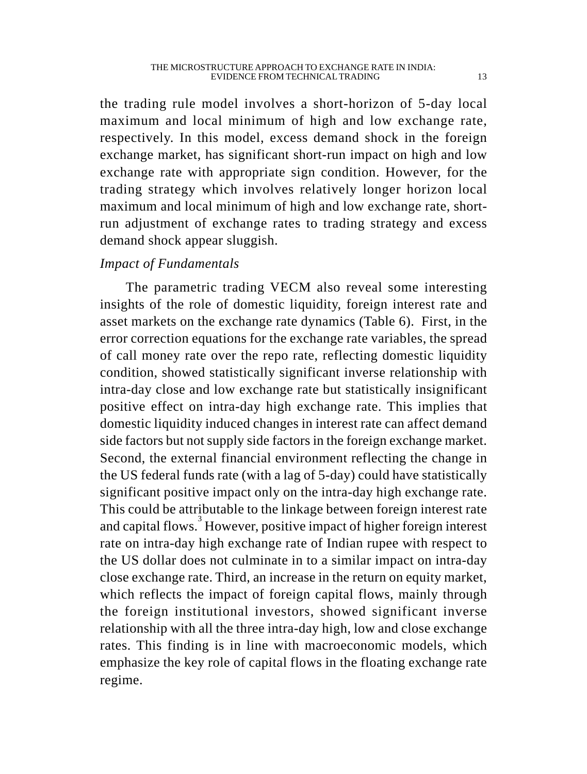the trading rule model involves a short-horizon of 5-day local maximum and local minimum of high and low exchange rate, respectively. In this model, excess demand shock in the foreign exchange market, has significant short-run impact on high and low exchange rate with appropriate sign condition. However, for the trading strategy which involves relatively longer horizon local maximum and local minimum of high and low exchange rate, shortrun adjustment of exchange rates to trading strategy and excess demand shock appear sluggish.

# *Impact of Fundamentals*

The parametric trading VECM also reveal some interesting insights of the role of domestic liquidity, foreign interest rate and asset markets on the exchange rate dynamics (Table 6). First, in the error correction equations for the exchange rate variables, the spread of call money rate over the repo rate, reflecting domestic liquidity condition, showed statistically significant inverse relationship with intra-day close and low exchange rate but statistically insignificant positive effect on intra-day high exchange rate. This implies that domestic liquidity induced changes in interest rate can affect demand side factors but not supply side factors in the foreign exchange market. Second, the external financial environment reflecting the change in the US federal funds rate (with a lag of 5-day) could have statistically significant positive impact only on the intra-day high exchange rate. This could be attributable to the linkage between foreign interest rate and capital flows.<sup>3</sup> However, positive impact of higher foreign interest rate on intra-day high exchange rate of Indian rupee with respect to the US dollar does not culminate in to a similar impact on intra-day close exchange rate. Third, an increase in the return on equity market, which reflects the impact of foreign capital flows, mainly through the foreign institutional investors, showed significant inverse relationship with all the three intra-day high, low and close exchange rates. This finding is in line with macroeconomic models, which emphasize the key role of capital flows in the floating exchange rate regime.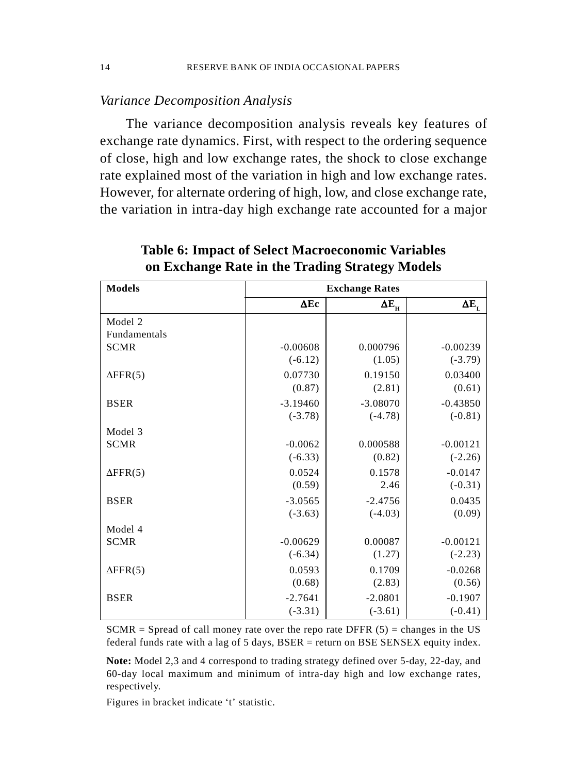## *Variance Decomposition Analysis*

The variance decomposition analysis reveals key features of exchange rate dynamics. First, with respect to the ordering sequence of close, high and low exchange rates, the shock to close exchange rate explained most of the variation in high and low exchange rates. However, for alternate ordering of high, low, and close exchange rate, the variation in intra-day high exchange rate accounted for a major

| <b>Models</b>       | <b>Exchange Rates</b> |                       |                |  |
|---------------------|-----------------------|-----------------------|----------------|--|
|                     | $\Delta$ Ec           | $\Delta E_{_{\rm H}}$ | $\Delta E_{L}$ |  |
| Model 2             |                       |                       |                |  |
| <b>Fundamentals</b> |                       |                       |                |  |
| <b>SCMR</b>         | $-0.00608$            | 0.000796              | $-0.00239$     |  |
|                     | $(-6.12)$             | (1.05)                | $(-3.79)$      |  |
| $\Delta$ FFR(5)     | 0.07730               | 0.19150               | 0.03400        |  |
|                     | (0.87)                | (2.81)                | (0.61)         |  |
| <b>BSER</b>         | $-3.19460$            | $-3.08070$            | $-0.43850$     |  |
|                     | $(-3.78)$             | $(-4.78)$             | $(-0.81)$      |  |
| Model 3             |                       |                       |                |  |
| <b>SCMR</b>         | $-0.0062$             | 0.000588              | $-0.00121$     |  |
|                     | $(-6.33)$             | (0.82)                | $(-2.26)$      |  |
| $\Delta$ FFR(5)     | 0.0524                | 0.1578                | $-0.0147$      |  |
|                     | (0.59)                | 2.46                  | $(-0.31)$      |  |
| <b>BSER</b>         | $-3.0565$             | $-2.4756$             | 0.0435         |  |
|                     | $(-3.63)$             | $(-4.03)$             | (0.09)         |  |
| Model 4             |                       |                       |                |  |
| <b>SCMR</b>         | $-0.00629$            | 0.00087               | $-0.00121$     |  |
|                     | $(-6.34)$             | (1.27)                | $(-2.23)$      |  |
| $\Delta$ FFR(5)     | 0.0593                | 0.1709                | $-0.0268$      |  |
|                     | (0.68)                | (2.83)                | (0.56)         |  |
| <b>BSER</b>         | $-2.7641$             | $-2.0801$             | $-0.1907$      |  |
|                     | $(-3.31)$             | $(-3.61)$             | $(-0.41)$      |  |

**Table 6: Impact of Select Macroeconomic Variables on Exchange Rate in the Trading Strategy Models**

 $SCMR = S$  of call money rate over the repo rate DFFR (5) = changes in the US federal funds rate with a lag of 5 days, BSER = return on BSE SENSEX equity index.

**Note:** Model 2,3 and 4 correspond to trading strategy defined over 5-day, 22-day, and 60-day local maximum and minimum of intra-day high and low exchange rates, respectively.

Figures in bracket indicate 't' statistic.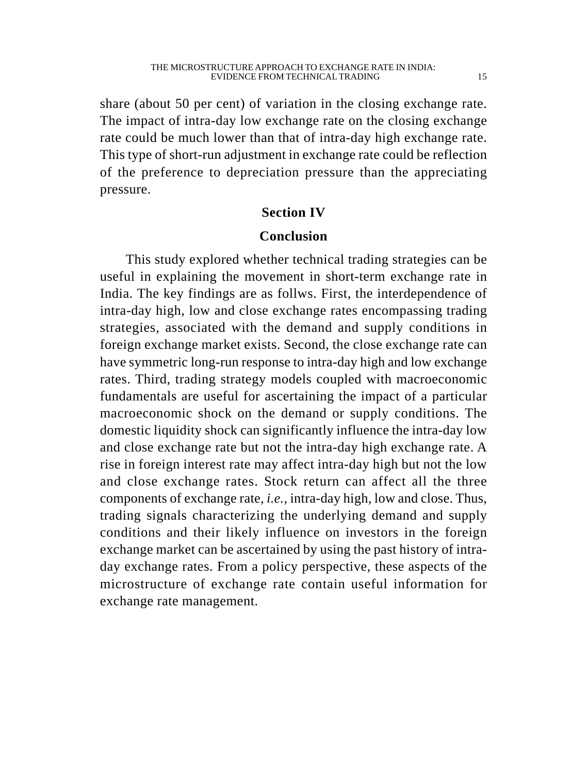share (about 50 per cent) of variation in the closing exchange rate. The impact of intra-day low exchange rate on the closing exchange rate could be much lower than that of intra-day high exchange rate. This type of short-run adjustment in exchange rate could be reflection of the preference to depreciation pressure than the appreciating pressure.

# **Section IV**

## **Conclusion**

This study explored whether technical trading strategies can be useful in explaining the movement in short-term exchange rate in India. The key findings are as follws. First, the interdependence of intra-day high, low and close exchange rates encompassing trading strategies, associated with the demand and supply conditions in foreign exchange market exists. Second, the close exchange rate can have symmetric long-run response to intra-day high and low exchange rates. Third, trading strategy models coupled with macroeconomic fundamentals are useful for ascertaining the impact of a particular macroeconomic shock on the demand or supply conditions. The domestic liquidity shock can significantly influence the intra-day low and close exchange rate but not the intra-day high exchange rate. A rise in foreign interest rate may affect intra-day high but not the low and close exchange rates. Stock return can affect all the three components of exchange rate, *i.e.,* intra-day high, low and close. Thus, trading signals characterizing the underlying demand and supply conditions and their likely influence on investors in the foreign exchange market can be ascertained by using the past history of intraday exchange rates. From a policy perspective, these aspects of the microstructure of exchange rate contain useful information for exchange rate management.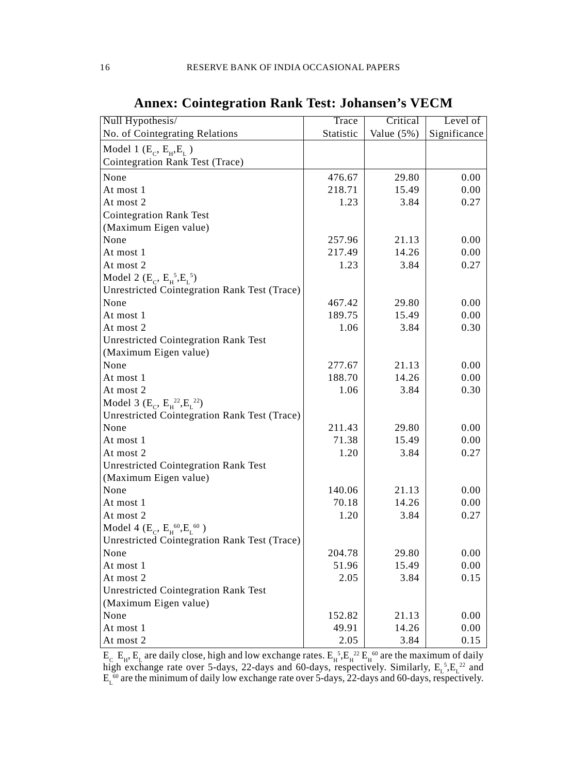| Null Hypothesis/                                    | Trace     | Critical      | Level of     |
|-----------------------------------------------------|-----------|---------------|--------------|
| No. of Cointegrating Relations                      | Statistic | Value $(5\%)$ | Significance |
| Model 1 $(E_c, E_H, E_L)$                           |           |               |              |
| Cointegration Rank Test (Trace)                     |           |               |              |
| None                                                | 476.67    | 29.80         | 0.00         |
| At most 1                                           | 218.71    | 15.49         | 0.00         |
| At most 2                                           | 1.23      | 3.84          | 0.27         |
| <b>Cointegration Rank Test</b>                      |           |               |              |
| (Maximum Eigen value)                               |           |               |              |
| None                                                | 257.96    | 21.13         | 0.00         |
| At most 1                                           | 217.49    | 14.26         | 0.00         |
| At most 2                                           | 1.23      | 3.84          | 0.27         |
| Model 2 ( $E_c$ , $E_f^5$ , $E_L^5$ )               |           |               |              |
| <b>Unrestricted Cointegration Rank Test (Trace)</b> |           |               |              |
| None                                                | 467.42    | 29.80         | 0.00         |
| At most 1                                           | 189.75    | 15.49         | 0.00         |
| At most 2                                           | 1.06      | 3.84          | 0.30         |
| <b>Unrestricted Cointegration Rank Test</b>         |           |               |              |
| (Maximum Eigen value)                               |           |               |              |
| None                                                | 277.67    | 21.13         | 0.00         |
| At most 1                                           | 188.70    | 14.26         | 0.00         |
| At most 2                                           | 1.06      | 3.84          | 0.30         |
| Model 3 ( $E_C$ , $E_H^{22}, E_L^{22}$ )            |           |               |              |
| Unrestricted Cointegration Rank Test (Trace)        |           |               |              |
| None                                                | 211.43    | 29.80         | 0.00         |
| At most 1                                           | 71.38     | 15.49         | 0.00         |
| At most 2                                           | 1.20      | 3.84          | 0.27         |
| <b>Unrestricted Cointegration Rank Test</b>         |           |               |              |
| (Maximum Eigen value)                               |           |               |              |
| None                                                | 140.06    | 21.13         | 0.00         |
| At most 1                                           | 70.18     | 14.26         | 0.00         |
| At most 2                                           | 1.20      | 3.84          | 0.27         |
| Model 4 ( $E_C$ , $E_H^{60}$ , $E_L^{60}$ )         |           |               |              |
| <b>Unrestricted Cointegration Rank Test (Trace)</b> |           |               |              |
| None                                                | 204.78    | 29.80         | 0.00         |
| At most 1                                           | 51.96     | 15.49         | 0.00         |
| At most 2                                           | 2.05      | 3.84          | 0.15         |
| <b>Unrestricted Cointegration Rank Test</b>         |           |               |              |
| (Maximum Eigen value)                               |           |               |              |
| None                                                | 152.82    | 21.13         | 0.00         |
| At most 1                                           | 49.91     | 14.26         | 0.00         |
| At most 2                                           | 2.05      | 3.84          | 0.15         |

**Annex: Cointegration Rank Test: Johansen's VECM**

 $E_c$   $E_H$ ,  $E_L$  are daily close, high and low exchange rates.  $E_H^{-5}$ ,  $E_H^{-22}$   $E_H^{-60}$  are the maximum of daily high exchange rate over 5-days, 22-days and 60-days, respectively. Similarly,  $E_L^5 E_L^2$  and  $E<sub>L</sub>$ <sup>60</sup> are the minimum of daily low exchange rate over 5-days, 22-days and 60-days, respectively.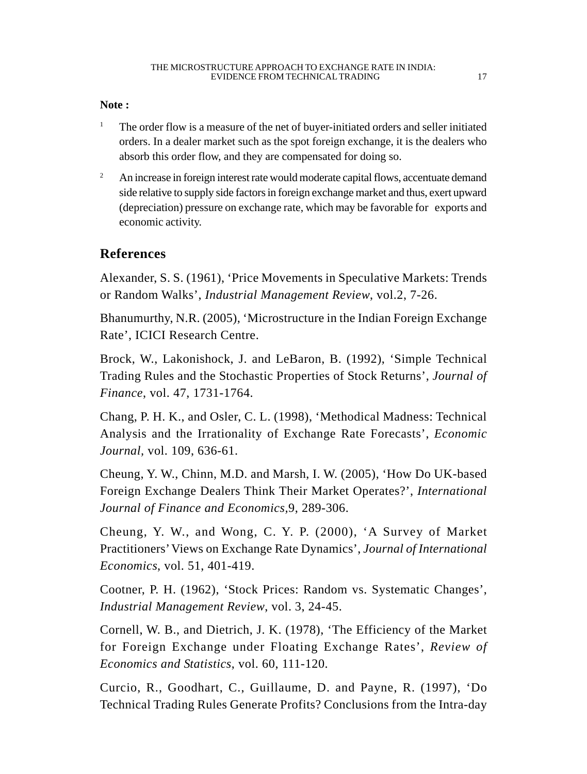#### **Note :**

- <sup>1</sup> The order flow is a measure of the net of buyer-initiated orders and seller initiated orders. In a dealer market such as the spot foreign exchange, it is the dealers who absorb this order flow, and they are compensated for doing so.
- <sup>2</sup> An increase in foreign interest rate would moderate capital flows, accentuate demand side relative to supply side factors in foreign exchange market and thus, exert upward (depreciation) pressure on exchange rate, which may be favorable for exports and economic activity.

# **References**

Alexander, S. S. (1961), 'Price Movements in Speculative Markets: Trends or Random Walks', *Industrial Management Review*, vol.2, 7-26.

Bhanumurthy, N.R. (2005), 'Microstructure in the Indian Foreign Exchange Rate', ICICI Research Centre.

Brock, W., Lakonishock, J. and LeBaron, B. (1992), 'Simple Technical Trading Rules and the Stochastic Properties of Stock Returns', *Journal of Finance*, vol. 47, 1731-1764.

Chang, P. H. K., and Osler, C. L. (1998), 'Methodical Madness: Technical Analysis and the Irrationality of Exchange Rate Forecasts', *Economic Journal,* vol. 109, 636-61.

Cheung, Y. W., Chinn, M.D. and Marsh, I. W. (2005), 'How Do UK-based Foreign Exchange Dealers Think Their Market Operates?', *International Journal of Finance and Economics,*9, 289-306.

Cheung, Y. W., and Wong, C. Y. P. (2000), 'A Survey of Market Practitioners' Views on Exchange Rate Dynamics', *Journal of International Economics*, vol. 51, 401-419.

Cootner, P. H. (1962), 'Stock Prices: Random vs. Systematic Changes', *Industrial Management Review*, vol. 3, 24-45.

Cornell, W. B., and Dietrich, J. K. (1978), 'The Efficiency of the Market for Foreign Exchange under Floating Exchange Rates', *Review of Economics and Statistics*, vol. 60, 111-120.

Curcio, R., Goodhart, C., Guillaume, D. and Payne, R. (1997), 'Do Technical Trading Rules Generate Profits? Conclusions from the Intra-day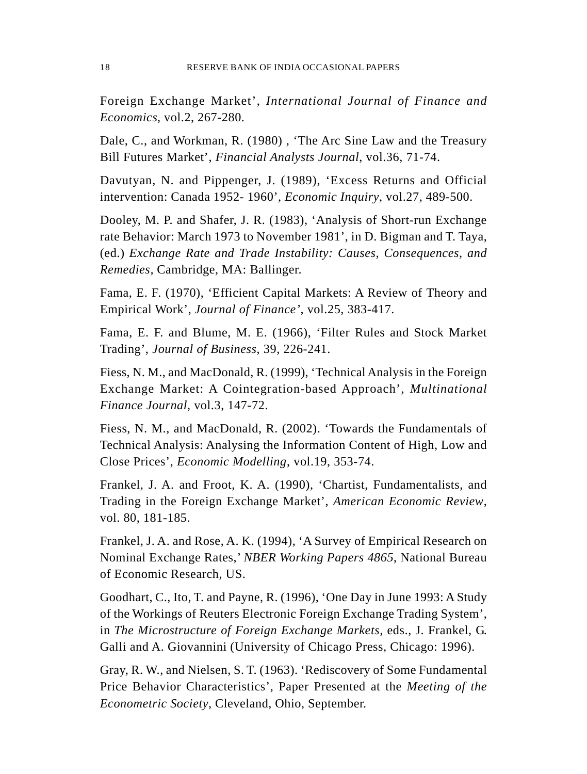Foreign Exchange Market', *International Journal of Finance and Economics*, vol.2, 267-280.

Dale, C., and Workman, R. (1980) , 'The Arc Sine Law and the Treasury Bill Futures Market', *Financial Analysts Journal*, vol.36, 71-74.

Davutyan, N. and Pippenger, J. (1989), 'Excess Returns and Official intervention: Canada 1952- 1960', *Economic Inquiry*, vol.27, 489-500.

Dooley, M. P. and Shafer, J. R. (1983), 'Analysis of Short-run Exchange rate Behavior: March 1973 to November 1981', in D. Bigman and T. Taya, (ed.) *Exchange Rate and Trade Instability: Causes, Consequences, and Remedies,* Cambridge, MA: Ballinger.

Fama, E. F. (1970), 'Efficient Capital Markets: A Review of Theory and Empirical Work', *Journal of Finance'*, vol.25, 383-417.

Fama, E. F. and Blume, M. E. (1966), 'Filter Rules and Stock Market Trading', *Journal of Business*, 39, 226-241.

Fiess, N. M., and MacDonald, R. (1999), 'Technical Analysis in the Foreign Exchange Market: A Cointegration-based Approach', *Multinational Finance Journal*, vol.3, 147-72.

Fiess, N. M., and MacDonald, R. (2002). 'Towards the Fundamentals of Technical Analysis: Analysing the Information Content of High, Low and Close Prices', *Economic Modelling*, vol.19, 353-74.

Frankel, J. A. and Froot, K. A. (1990), 'Chartist, Fundamentalists, and Trading in the Foreign Exchange Market', *American Economic Review*, vol. 80, 181-185.

Frankel, J. A. and Rose, A. K. (1994), 'A Survey of Empirical Research on Nominal Exchange Rates,' *NBER Working Papers 4865*, National Bureau of Economic Research, US.

Goodhart, C., Ito, T. and Payne, R. (1996), 'One Day in June 1993: A Study of the Workings of Reuters Electronic Foreign Exchange Trading System', in *The Microstructure of Foreign Exchange Markets,* eds., J. Frankel, G. Galli and A. Giovannini (University of Chicago Press, Chicago: 1996).

Gray, R. W., and Nielsen, S. T. (1963). 'Rediscovery of Some Fundamental Price Behavior Characteristics', Paper Presented at the *Meeting of the Econometric Society*, Cleveland, Ohio, September.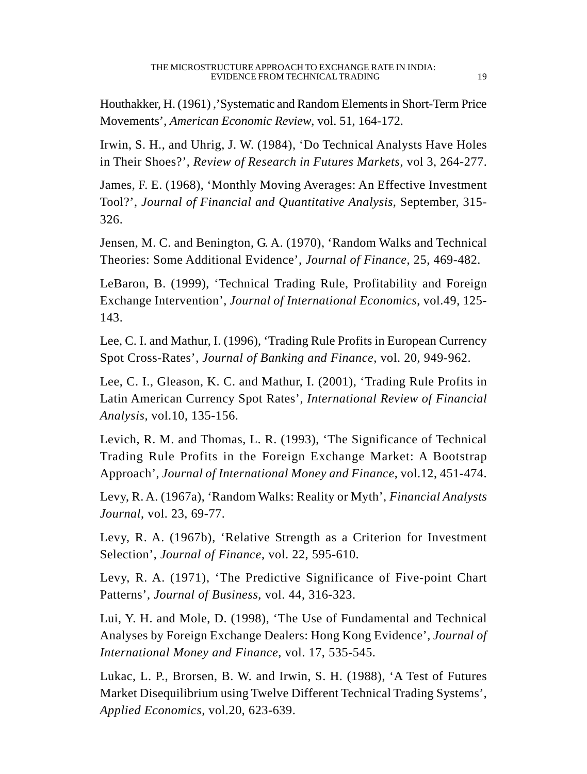Houthakker, H. (1961) ,'Systematic and Random Elements in Short-Term Price Movements', *American Economic Review*, vol. 51, 164-172.

Irwin, S. H., and Uhrig, J. W. (1984), 'Do Technical Analysts Have Holes in Their Shoes?', *Review of Research in Futures Markets*, vol 3, 264-277.

James, F. E. (1968), 'Monthly Moving Averages: An Effective Investment Tool?', *Journal of Financial and Quantitative Analysis*, September, 315- 326.

Jensen, M. C. and Benington, G. A. (1970), 'Random Walks and Technical Theories: Some Additional Evidence', *Journal of Finance*, 25, 469-482.

LeBaron, B. (1999), 'Technical Trading Rule, Profitability and Foreign Exchange Intervention', *Journal of International Economics*, vol.49, 125- 143.

Lee, C. I. and Mathur, I. (1996), 'Trading Rule Profits in European Currency Spot Cross-Rates', *Journal of Banking and Finance*, vol. 20, 949-962.

Lee, C. I., Gleason, K. C. and Mathur, I. (2001), 'Trading Rule Profits in Latin American Currency Spot Rates', *International Review of Financial Analysis,* vol.10, 135-156.

Levich, R. M. and Thomas, L. R. (1993), 'The Significance of Technical Trading Rule Profits in the Foreign Exchange Market: A Bootstrap Approach', *Journal of International Money and Finance*, vol.12, 451-474.

Levy, R. A. (1967a), 'Random Walks: Reality or Myth', *Financial Analysts Journal*, vol. 23, 69-77.

Levy, R. A. (1967b), 'Relative Strength as a Criterion for Investment Selection', *Journal of Finance*, vol. 22, 595-610.

Levy, R. A. (1971), 'The Predictive Significance of Five-point Chart Patterns', *Journal of Business*, vol. 44, 316-323.

Lui, Y. H. and Mole, D. (1998), 'The Use of Fundamental and Technical Analyses by Foreign Exchange Dealers: Hong Kong Evidence', *Journal of International Money and Finance*, vol. 17, 535-545.

Lukac, L. P., Brorsen, B. W. and Irwin, S. H. (1988), 'A Test of Futures Market Disequilibrium using Twelve Different Technical Trading Systems', *Applied Economics,* vol.20, 623-639.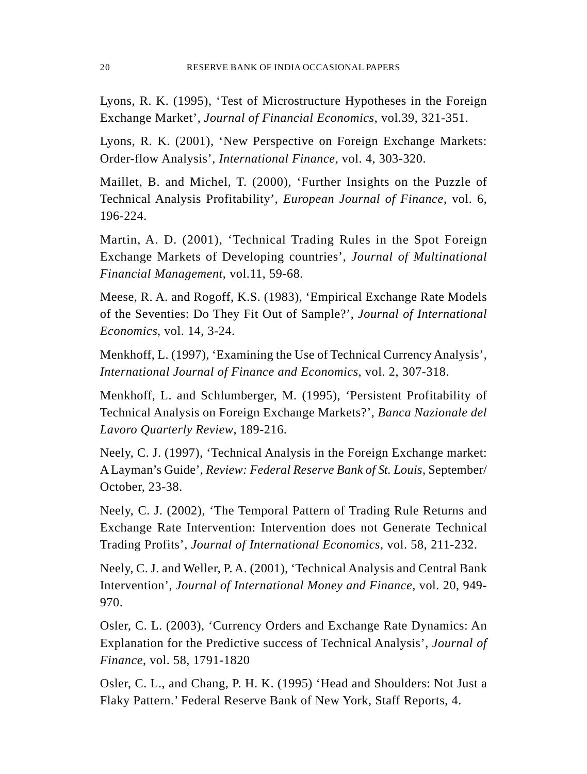Lyons, R. K. (1995), 'Test of Microstructure Hypotheses in the Foreign Exchange Market', *Journal of Financial Economics*, vol.39, 321-351.

Lyons, R. K. (2001), 'New Perspective on Foreign Exchange Markets: Order-flow Analysis', *International Finance,* vol. 4, 303-320.

Maillet, B. and Michel, T. (2000), 'Further Insights on the Puzzle of Technical Analysis Profitability', *European Journal of Finance*, vol. 6, 196-224.

Martin, A. D. (2001), 'Technical Trading Rules in the Spot Foreign Exchange Markets of Developing countries', *Journal of Multinational Financial Management*, vol.11, 59-68.

Meese, R. A. and Rogoff, K.S. (1983), 'Empirical Exchange Rate Models of the Seventies: Do They Fit Out of Sample?', *Journal of International Economics*, vol. 14, 3-24.

Menkhoff, L. (1997), 'Examining the Use of Technical Currency Analysis', *International Journal of Finance and Economics*, vol. 2, 307-318.

Menkhoff, L. and Schlumberger, M. (1995), 'Persistent Profitability of Technical Analysis on Foreign Exchange Markets?', *Banca Nazionale del Lavoro Quarterly Review*, 189-216.

Neely, C. J. (1997), 'Technical Analysis in the Foreign Exchange market: A Layman's Guide', *Review: Federal Reserve Bank of St. Louis*, September/ October, 23-38.

Neely, C. J. (2002), 'The Temporal Pattern of Trading Rule Returns and Exchange Rate Intervention: Intervention does not Generate Technical Trading Profits', *Journal of International Economics*, vol. 58, 211-232.

Neely, C. J. and Weller, P. A. (2001), 'Technical Analysis and Central Bank Intervention', *Journal of International Money and Finance*, vol. 20, 949- 970.

Osler, C. L. (2003), 'Currency Orders and Exchange Rate Dynamics: An Explanation for the Predictive success of Technical Analysis', *Journal of Finance*, vol. 58, 1791-1820

Osler, C. L., and Chang, P. H. K. (1995) 'Head and Shoulders: Not Just a Flaky Pattern.' Federal Reserve Bank of New York, Staff Reports, 4.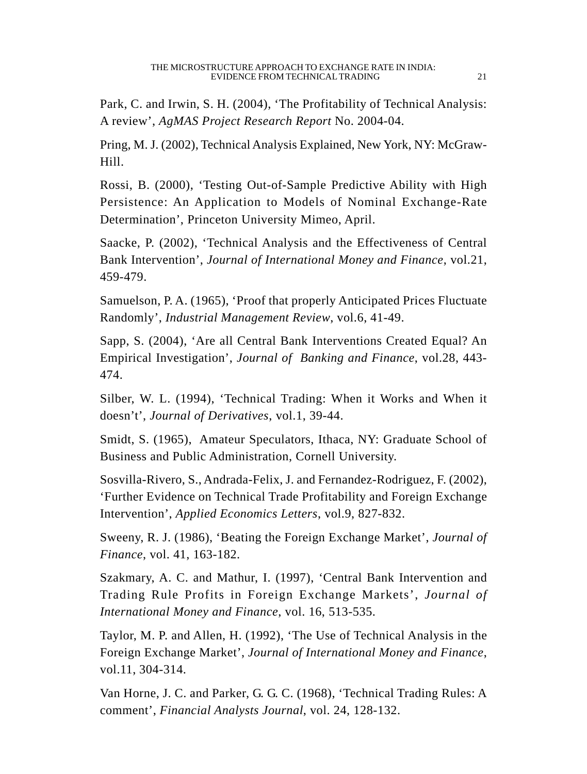Park, C. and Irwin, S. H. (2004), 'The Profitability of Technical Analysis: A review', *AgMAS Project Research Report* No. 2004-04.

Pring, M. J. (2002), Technical Analysis Explained, New York, NY: McGraw-Hill.

Rossi, B. (2000), 'Testing Out-of-Sample Predictive Ability with High Persistence: An Application to Models of Nominal Exchange-Rate Determination', Princeton University Mimeo, April.

Saacke, P. (2002), 'Technical Analysis and the Effectiveness of Central Bank Intervention', *Journal of International Money and Finance*, vol.21, 459-479.

Samuelson, P. A. (1965), 'Proof that properly Anticipated Prices Fluctuate Randomly', *Industrial Management Review*, vol.6, 41-49.

Sapp, S. (2004), 'Are all Central Bank Interventions Created Equal? An Empirical Investigation', *Journal of Banking and Finance*, vol.28, 443- 474.

Silber, W. L. (1994), 'Technical Trading: When it Works and When it doesn't', *Journal of Derivatives*, vol.1, 39-44.

Smidt, S. (1965), Amateur Speculators, Ithaca, NY: Graduate School of Business and Public Administration, Cornell University.

Sosvilla-Rivero, S., Andrada-Felix, J. and Fernandez-Rodriguez, F. (2002), 'Further Evidence on Technical Trade Profitability and Foreign Exchange Intervention', *Applied Economics Letters*, vol.9, 827-832.

Sweeny, R. J. (1986), 'Beating the Foreign Exchange Market', *Journal of Finance*, vol. 41, 163-182.

Szakmary, A. C. and Mathur, I. (1997), 'Central Bank Intervention and Trading Rule Profits in Foreign Exchange Markets', *Journal of International Money and Finance*, vol. 16, 513-535.

Taylor, M. P. and Allen, H. (1992), 'The Use of Technical Analysis in the Foreign Exchange Market', *Journal of International Money and Finance*, vol.11, 304-314.

Van Horne, J. C. and Parker, G. G. C. (1968), 'Technical Trading Rules: A comment', *Financial Analysts Journal*, vol. 24, 128-132.